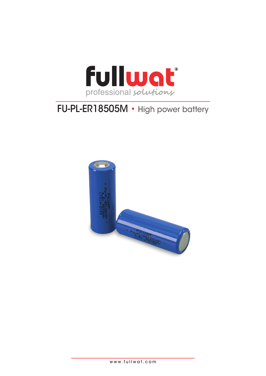

# FU-PL-ER18505M • High power battery

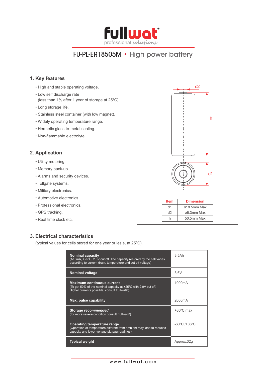

## FU-PL-ER18505M • High power battery

#### **1. Key features**

- High and stable operating voltage.
- Low self discharge rate (less than 1% after 1 year of storage at 25ºC).
- Long storage life.
- Stainless steel container (with low magnet).
- Widely operating temperature range.
- Hermetic glass-to-metal sealing.
- • Non-flammable electrolyte.

### **2. Application**

- Utility metering.
- Memory back-up.
- Alarms and security devices.
- Tollgate systems.
- Military electronics.
- Automotive electronics.
- Professional electronics.
- GPS tracking.
- Real time clock etc.



#### **3. Electrical characteristics**

(typical values for cells stored for one year or les s, at 25ºC).

| <b>Nominal capacity</b><br>(At 5mA, +25°C, 2.0V cut off. The capacity restored by the cell varies<br>according to current drain, temperature and cut off voltage) | 3.5Ah                             |
|-------------------------------------------------------------------------------------------------------------------------------------------------------------------|-----------------------------------|
| <b>Nominal voltage</b>                                                                                                                                            | 3.6V                              |
| <b>Maximum continuous current</b><br>(To get 50% of the nominal capacity at +25°C with 2.0V cut off.<br>Higher currents possible, consult Fullwat®)               | 1000mA                            |
| Max. pulse capability                                                                                                                                             | 2000mA                            |
| Storage recommended<br>(for more severe condition consult Fullwat®)                                                                                               | $+30^{\circ}$ C max               |
| Operating temperature range<br>(Operation at temperature different from ambient may lead to reduced<br>capacity and lower voltage plateau readings)               | $-60^{\circ}$ C /+85 $^{\circ}$ C |
| <b>Typical weight</b>                                                                                                                                             | Approx.32g                        |